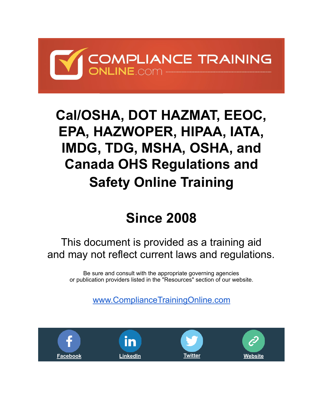

## **[Cal/OSHA, DOT HAZMAT, EEOC,](https://www.compliancetrainingonline.com/arc-flash-safety.cfm)  EPA, HAZWOPER, HIPAA, IATA, IMDG, TDG, MSHA, OSHA, and Canada OHS Regulations and Safety Online Training**

# **Since 2008**

## This document is provided as a training aid and may not reflect current laws and regulations.

Be sure and consult with the appropriate governing agencies or publication providers listed in the "Resources" section of our website.

[www.ComplianceTrainingOnline.com](https://www.compliancetrainingonline.com/)

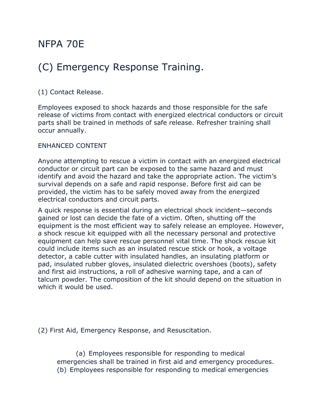### NFPA 70E

## (C) Emergency Response Training.

#### (1) Contact Release.

Employees exposed to shock hazards and those responsible for the safe release of victims from contact with energized electrical conductors or circuit parts shall be trained in methods of safe release. Refresher training shall occur annually.

#### ENHANCED CONTENT

Anyone attempting to rescue a victim in contact with an energized electrical conductor or circuit part can be exposed to the same hazard and must identify and avoid the hazard and take the appropriate action. The victim's survival depends on a safe and rapid response. Before first aid can be provided, the victim has to be safely moved away from the energized electrical conductors and circuit parts.

A quick response is essential during an electrical shock incident—seconds gained or lost can decide the fate of a victim. Often, shutting off the equipment is the most efficient way to safely release an employee. However, a shock rescue kit equipped with all the necessary personal and protective equipment can help save rescue personnel vital time. The shock rescue kit could include items such as an insulated rescue stick or hook, a voltage detector, a cable cutter with insulated handles, an insulating platform or pad, insulated rubber gloves, insulated dielectric overshoes (boots), safety and first aid instructions, a roll of adhesive warning tape, and a can of talcum powder. The composition of the kit should depend on the situation in which it would be used.

(2) First Aid, Emergency Response, and Resuscitation.

(a) Employees responsible for responding to medical emergencies shall be trained in first aid and emergency procedures. (b) Employees responsible for responding to medical emergencies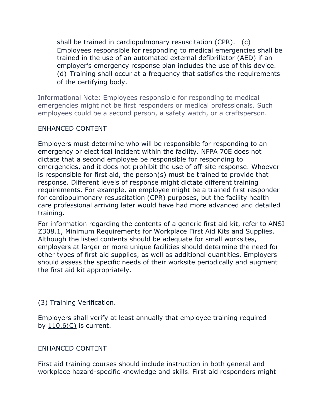shall be trained in cardiopulmonary resuscitation (CPR). (c) Employees responsible for responding to medical emergencies shall be trained in the use of an automated external defibrillator (AED) if an employer's emergency response plan includes the use of this device. (d) Training shall occur at a frequency that satisfies the requirements of the certifying body.

Informational Note: Employees responsible for responding to medical emergencies might not be first responders or medical professionals. Such employees could be a second person, a safety watch, or a craftsperson.

#### ENHANCED CONTENT

Employers must determine who will be responsible for responding to an emergency or electrical incident within the facility. NFPA 70E does not dictate that a second employee be responsible for responding to emergencies, and it does not prohibit the use of off-site response. Whoever is responsible for first aid, the person(s) must be trained to provide that response. Different levels of response might dictate different training requirements. For example, an employee might be a trained first responder for cardiopulmonary resuscitation (CPR) purposes, but the facility health care professional arriving later would have had more advanced and detailed training.

For information regarding the contents of a generic first aid kit, refer to ANSI Z308.1, Minimum Requirements for Workplace First Aid Kits and Supplies. Although the listed contents should be adequate for small worksites, employers at larger or more unique facilities should determine the need for other types of first aid supplies, as well as additional quantities. Employers should assess the specific needs of their worksite periodically and augment the first aid kit appropriately.

#### (3) Training Verification.

Employers shall verify at least annually that employee training required by 110.6(C) is current.

#### ENHANCED CONTENT

First aid training courses should include instruction in both general and workplace hazard-specific knowledge and skills. First aid responders might